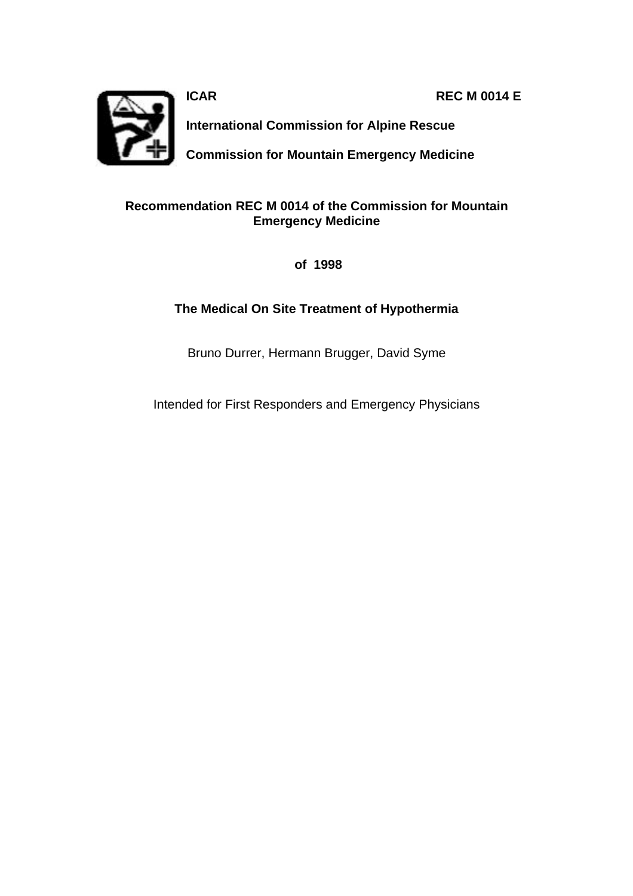**ICAR REC M 0014 E**



**International Commission for Alpine Rescue**

**Commission for Mountain Emergency Medicine**

### **Recommendation REC M 0014 of the Commission for Mountain Emergency Medicine**

 **of 1998**

### **The Medical On Site Treatment of Hypothermia**

Bruno Durrer, Hermann Brugger, David Syme

Intended for First Responders and Emergency Physicians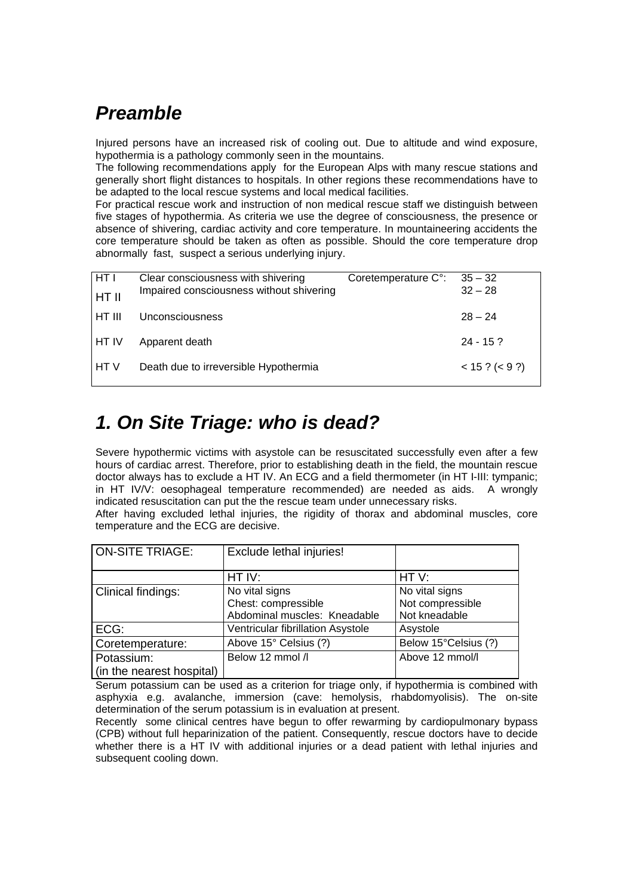## *Preamble*

Injured persons have an increased risk of cooling out. Due to altitude and wind exposure, hypothermia is a pathology commonly seen in the mountains.

The following recommendations apply for the European Alps with many rescue stations and generally short flight distances to hospitals. In other regions these recommendations have to be adapted to the local rescue systems and local medical facilities.

For practical rescue work and instruction of non medical rescue staff we distinguish between five stages of hypothermia. As criteria we use the degree of consciousness, the presence or absence of shivering, cardiac activity and core temperature. In mountaineering accidents the core temperature should be taken as often as possible. Should the core temperature drop abnormally fast, suspect a serious underlying injury.

| <b>HTI</b><br>HT II | Clear consciousness with shivering<br>Impaired consciousness without shivering | Coretemperature C°: | $35 - 32$<br>$32 - 28$ |
|---------------------|--------------------------------------------------------------------------------|---------------------|------------------------|
| I HT III            | Unconsciousness                                                                |                     | $28 - 24$              |
| <b>HT IV</b>        | Apparent death                                                                 |                     | $24 - 15$ ?            |
| <b>HTV</b>          | Death due to irreversible Hypothermia                                          |                     | $< 15$ ? ( $<$ 9 ?)    |

## *1. On Site Triage: who is dead?*

Severe hypothermic victims with asystole can be resuscitated successfully even after a few hours of cardiac arrest. Therefore, prior to establishing death in the field, the mountain rescue doctor always has to exclude a HT IV. An ECG and a field thermometer (in HT I-III: tympanic; in HT IV/V: oesophageal temperature recommended) are needed as aids. A wrongly indicated resuscitation can put the the rescue team under unnecessary risks.

After having excluded lethal injuries, the rigidity of thorax and abdominal muscles, core temperature and the ECG are decisive.

| ON-SITE TRIAGE:           | Exclude lethal injuries!          |                      |
|---------------------------|-----------------------------------|----------------------|
|                           |                                   |                      |
|                           | HT IV:                            | HTV:                 |
| Clinical findings:        | No vital signs                    | No vital signs       |
|                           | Chest: compressible               | Not compressible     |
|                           | Abdominal muscles: Kneadable      | Not kneadable        |
| ECG:                      | Ventricular fibrillation Asystole | Asystole             |
| Coretemperature:          | Above 15° Celsius (?)             | Below 15°Celsius (?) |
| Potassium:                | Below 12 mmol /l                  | Above 12 mmol/l      |
| (in the nearest hospital) |                                   |                      |

Serum potassium can be used as a criterion for triage only, if hypothermia is combined with asphyxia e.g. avalanche, immersion (cave: hemolysis, rhabdomyolisis). The on-site determination of the serum potassium is in evaluation at present.

Recently some clinical centres have begun to offer rewarming by cardiopulmonary bypass (CPB) without full heparinization of the patient. Consequently, rescue doctors have to decide whether there is a HT IV with additional injuries or a dead patient with lethal injuries and subsequent cooling down.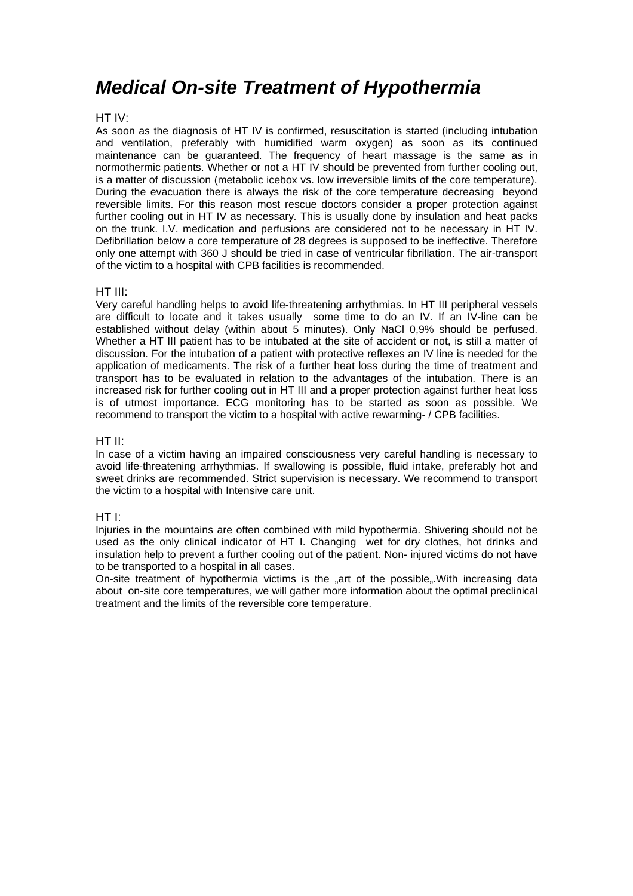### *Medical On-site Treatment of Hypothermia*

#### HT IV:

As soon as the diagnosis of HT IV is confirmed, resuscitation is started (including intubation and ventilation, preferably with humidified warm oxygen) as soon as its continued maintenance can be guaranteed. The frequency of heart massage is the same as in normothermic patients. Whether or not a HT IV should be prevented from further cooling out, is a matter of discussion (metabolic icebox vs. low irreversible limits of the core temperature). During the evacuation there is always the risk of the core temperature decreasing beyond reversible limits. For this reason most rescue doctors consider a proper protection against further cooling out in HT IV as necessary. This is usually done by insulation and heat packs on the trunk. I.V. medication and perfusions are considered not to be necessary in HT IV. Defibrillation below a core temperature of 28 degrees is supposed to be ineffective. Therefore only one attempt with 360 J should be tried in case of ventricular fibrillation. The air-transport of the victim to a hospital with CPB facilities is recommended.

#### HT III:

Very careful handling helps to avoid life-threatening arrhythmias. In HT III peripheral vessels are difficult to locate and it takes usually some time to do an IV. If an IV-line can be established without delay (within about 5 minutes). Only NaCl 0,9% should be perfused. Whether a HT III patient has to be intubated at the site of accident or not, is still a matter of discussion. For the intubation of a patient with protective reflexes an IV line is needed for the application of medicaments. The risk of a further heat loss during the time of treatment and transport has to be evaluated in relation to the advantages of the intubation. There is an increased risk for further cooling out in HT III and a proper protection against further heat loss is of utmost importance. ECG monitoring has to be started as soon as possible. We recommend to transport the victim to a hospital with active rewarming- / CPB facilities.

#### HT II:

In case of a victim having an impaired consciousness very careful handling is necessary to avoid life-threatening arrhythmias. If swallowing is possible, fluid intake, preferably hot and sweet drinks are recommended. Strict supervision is necessary. We recommend to transport the victim to a hospital with Intensive care unit.

#### HT I:

Injuries in the mountains are often combined with mild hypothermia. Shivering should not be used as the only clinical indicator of HT I. Changing wet for dry clothes, hot drinks and insulation help to prevent a further cooling out of the patient. Non- injured victims do not have to be transported to a hospital in all cases.

On-site treatment of hypothermia victims is the "art of the possible...With increasing data about on-site core temperatures, we will gather more information about the optimal preclinical treatment and the limits of the reversible core temperature.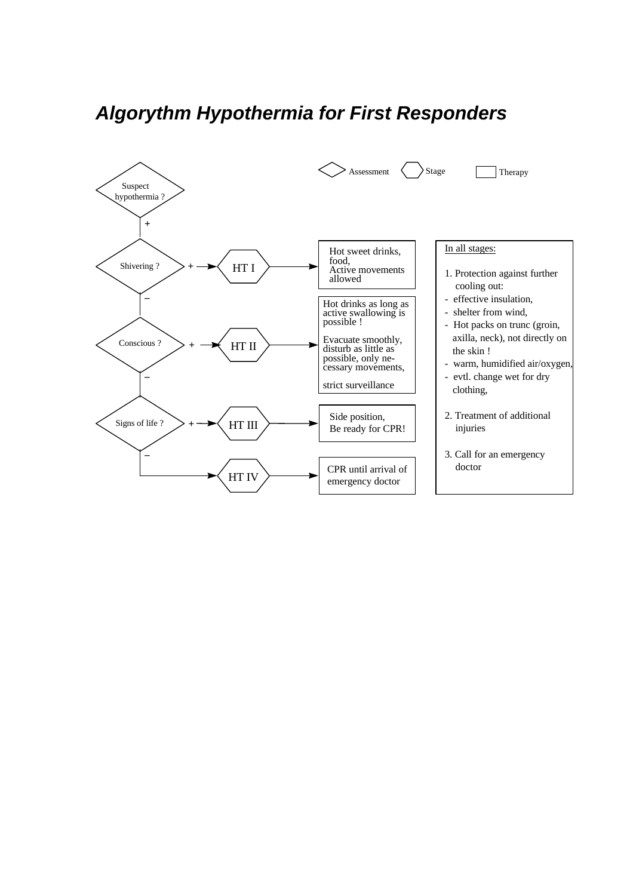# *Algorythm Hypothermia for First Responders*